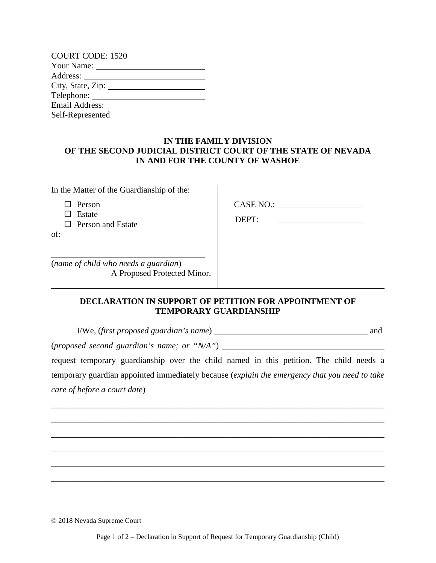| <b>COURT CODE: 1520</b> |
|-------------------------|
|                         |
| Address: _______        |
| City, State, Zip:       |
|                         |
| Email Address:          |
| Self-Represented        |

## **IN THE FAMILY DIVISION OF THE SECOND JUDICIAL DISTRICT COURT OF THE STATE OF NEVADA IN AND FOR THE COUNTY OF WASHOE**

 $\overline{\phantom{a}}$ 

In the Matter of the Guardianship of the:

 $\Box$  Person

 $\Box$  Estate

 $\Box$  Person and Estate

of:

CASE NO.:

DEPT:

(*name of child who needs a guardian*) A Proposed Protected Minor.

\_\_\_\_\_\_\_\_\_\_\_\_\_\_\_\_\_\_\_\_\_\_\_\_\_\_\_\_\_\_\_\_\_\_\_\_

## **DECLARATION IN SUPPORT OF PETITION FOR APPOINTMENT OF TEMPORARY GUARDIANSHIP**

I/We, (*first proposed guardian's name*) \_\_\_\_\_\_\_\_\_\_\_\_\_\_\_\_\_\_\_\_\_\_\_\_\_\_\_\_\_\_\_\_\_\_\_\_ and

(*proposed second guardian's name; or "N/A"*) \_\_\_\_\_\_\_\_\_\_\_\_\_\_\_\_\_\_\_\_\_\_\_\_\_\_\_\_\_\_\_\_\_\_\_\_\_\_

request temporary guardianship over the child named in this petition. The child needs a temporary guardian appointed immediately because (*explain the emergency that you need to take care of before a court date*)

\_\_\_\_\_\_\_\_\_\_\_\_\_\_\_\_\_\_\_\_\_\_\_\_\_\_\_\_\_\_\_\_\_\_\_\_\_\_\_\_\_\_\_\_\_\_\_\_\_\_\_\_\_\_\_\_\_\_\_\_\_\_\_\_\_\_\_\_\_\_\_\_\_\_\_\_\_\_

\_\_\_\_\_\_\_\_\_\_\_\_\_\_\_\_\_\_\_\_\_\_\_\_\_\_\_\_\_\_\_\_\_\_\_\_\_\_\_\_\_\_\_\_\_\_\_\_\_\_\_\_\_\_\_\_\_\_\_\_\_\_\_\_\_\_\_\_\_\_\_\_\_\_\_\_\_\_

\_\_\_\_\_\_\_\_\_\_\_\_\_\_\_\_\_\_\_\_\_\_\_\_\_\_\_\_\_\_\_\_\_\_\_\_\_\_\_\_\_\_\_\_\_\_\_\_\_\_\_\_\_\_\_\_\_\_\_\_\_\_\_\_\_\_\_\_\_\_\_\_\_\_\_\_\_\_

\_\_\_\_\_\_\_\_\_\_\_\_\_\_\_\_\_\_\_\_\_\_\_\_\_\_\_\_\_\_\_\_\_\_\_\_\_\_\_\_\_\_\_\_\_\_\_\_\_\_\_\_\_\_\_\_\_\_\_\_\_\_\_\_\_\_\_\_\_\_\_\_\_\_\_\_\_\_

\_\_\_\_\_\_\_\_\_\_\_\_\_\_\_\_\_\_\_\_\_\_\_\_\_\_\_\_\_\_\_\_\_\_\_\_\_\_\_\_\_\_\_\_\_\_\_\_\_\_\_\_\_\_\_\_\_\_\_\_\_\_\_\_\_\_\_\_\_\_\_\_\_\_\_\_\_\_

\_\_\_\_\_\_\_\_\_\_\_\_\_\_\_\_\_\_\_\_\_\_\_\_\_\_\_\_\_\_\_\_\_\_\_\_\_\_\_\_\_\_\_\_\_\_\_\_\_\_\_\_\_\_\_\_\_\_\_\_\_\_\_\_\_\_\_\_\_\_\_\_\_\_\_\_\_\_

© 2018 Nevada Supreme Court